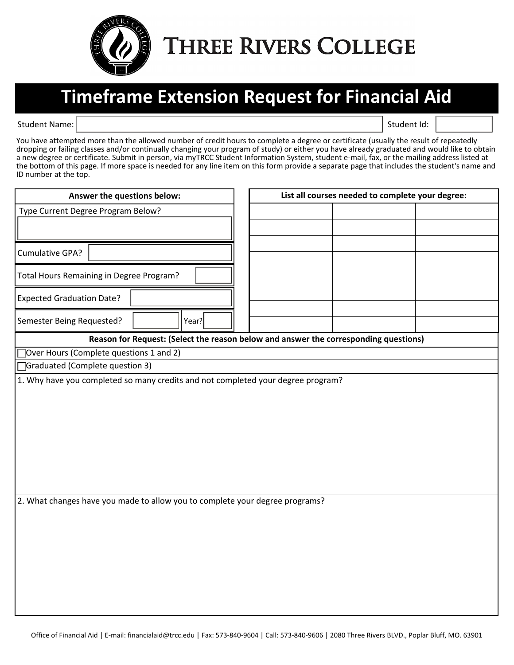

**THREE RIVERS COLLEGE** 

## **Timeframe Extension Request for Financial Aid**

Student Name: Student Id: Student Id: Student Id: Student Id: Student Id: Student Id: Student Id: Student Id: Student Id: Student Id: Student Id: Student Id: Student Id: Student Id: Student Id: Student Id: Student Id: Stud

You have attempted more than the allowed number of credit hours to complete a degree or certificate (usually the result of repeatedly dropping or failing classes and/or continually changing your program of study) or either you have already graduated and would like to obtain a new degree or certificate. Submit in person, via myTRCC Student Information System, student e-mail, fax, or the mailing address listed at the bottom of this page. If more space is needed for any line item on this form provide a separate page that includes the student's name and ID number at the top.

| Answer the questions below:                                                          |  | List all courses needed to complete your degree: |  |  |  |  |
|--------------------------------------------------------------------------------------|--|--------------------------------------------------|--|--|--|--|
| Type Current Degree Program Below?                                                   |  |                                                  |  |  |  |  |
|                                                                                      |  |                                                  |  |  |  |  |
|                                                                                      |  |                                                  |  |  |  |  |
| Cumulative GPA?                                                                      |  |                                                  |  |  |  |  |
| Total Hours Remaining in Degree Program?                                             |  |                                                  |  |  |  |  |
| <b>Expected Graduation Date?</b>                                                     |  |                                                  |  |  |  |  |
| $\overline{\phantom{a}}$<br>Year?<br>Semester Being Requested?                       |  |                                                  |  |  |  |  |
| Reason for Request: (Select the reason below and answer the corresponding questions) |  |                                                  |  |  |  |  |
| Over Hours (Complete questions 1 and 2)                                              |  |                                                  |  |  |  |  |
| Graduated (Complete question 3)                                                      |  |                                                  |  |  |  |  |
| 1. Why have you completed so many credits and not completed your degree program?     |  |                                                  |  |  |  |  |
|                                                                                      |  |                                                  |  |  |  |  |
|                                                                                      |  |                                                  |  |  |  |  |
|                                                                                      |  |                                                  |  |  |  |  |
|                                                                                      |  |                                                  |  |  |  |  |
|                                                                                      |  |                                                  |  |  |  |  |
|                                                                                      |  |                                                  |  |  |  |  |
|                                                                                      |  |                                                  |  |  |  |  |
|                                                                                      |  |                                                  |  |  |  |  |
| 2. What changes have you made to allow you to complete your degree programs?         |  |                                                  |  |  |  |  |
|                                                                                      |  |                                                  |  |  |  |  |
|                                                                                      |  |                                                  |  |  |  |  |
|                                                                                      |  |                                                  |  |  |  |  |
|                                                                                      |  |                                                  |  |  |  |  |
|                                                                                      |  |                                                  |  |  |  |  |
|                                                                                      |  |                                                  |  |  |  |  |
|                                                                                      |  |                                                  |  |  |  |  |
|                                                                                      |  |                                                  |  |  |  |  |
|                                                                                      |  |                                                  |  |  |  |  |